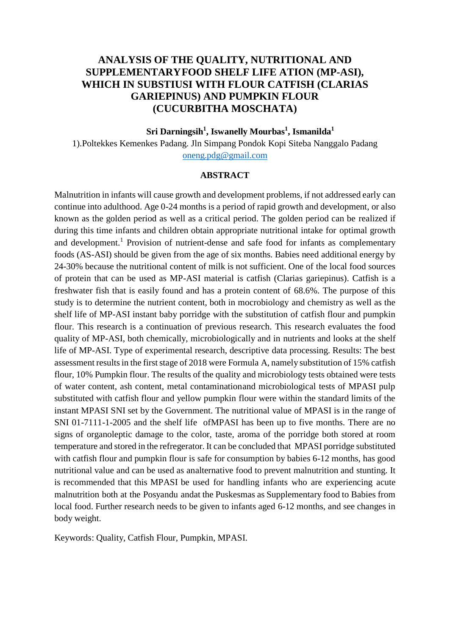# **ANALYSIS OF THE QUALITY, NUTRITIONAL AND SUPPLEMENTARYFOOD SHELF LIFE ATION (MP-ASI), WHICH IN SUBSTIUSI WITH FLOUR CATFISH (CLARIAS GARIEPINUS) AND PUMPKIN FLOUR (CUCURBITHA MOSCHATA)**

# **Sri Darningsih<sup>1</sup> , Iswanelly Mourbas<sup>1</sup> , Ismanilda<sup>1</sup>**

1).Poltekkes Kemenkes Padang. Jln Simpang Pondok Kopi Siteba Nanggalo Padang [oneng.pdg@gmail.com](mailto:oneng.pdg@gmail.com)

#### **ABSTRACT**

Malnutrition in infants will cause growth and development problems, if not addressed early can continue into adulthood. Age 0-24 months is a period of rapid growth and development, or also known as the golden period as well as a critical period. The golden period can be realized if during this time infants and children obtain appropriate nutritional intake for optimal growth and development.<sup>1</sup> Provision of nutrient-dense and safe food for infants as complementary foods (AS-ASI) should be given from the age of six months. Babies need additional energy by 24-30% because the nutritional content of milk is not sufficient. One of the local food sources of protein that can be used as MP-ASI material is catfish (Clarias gariepinus). Catfish is a freshwater fish that is easily found and has a protein content of 68.6%. The purpose of this study is to determine the nutrient content, both in mocrobiology and chemistry as well as the shelf life of MP-ASI instant baby porridge with the substitution of catfish flour and pumpkin flour. This research is a continuation of previous research. This research evaluates the food quality of MP-ASI, both chemically, microbiologically and in nutrients and looks at the shelf life of MP-ASI. Type of experimental research, descriptive data processing. Results: The best assessment results in the first stage of 2018 were Formula A, namely substitution of 15% catfish flour, 10% Pumpkin flour. The results of the quality and microbiology tests obtained were tests of water content, ash content, metal contaminationand microbiological tests of MPASI pulp substituted with catfish flour and yellow pumpkin flour were within the standard limits of the instant MPASI SNI set by the Government. The nutritional value of MPASI is in the range of SNI 01-7111-1-2005 and the shelf life ofMPASI has been up to five months. There are no signs of organoleptic damage to the color, taste, aroma of the porridge both stored at room temperature and stored in the refregerator. It can be concluded that MPASI porridge substituted with catfish flour and pumpkin flour is safe for consumption by babies 6-12 months, has good nutritional value and can be used as analternative food to prevent malnutrition and stunting. It is recommended that this MPASI be used for handling infants who are experiencing acute malnutrition both at the Posyandu andat the Puskesmas as Supplementary food to Babies from local food. Further research needs to be given to infants aged 6-12 months, and see changes in body weight.

Keywords: Quality, Catfish Flour, Pumpkin, MPASI.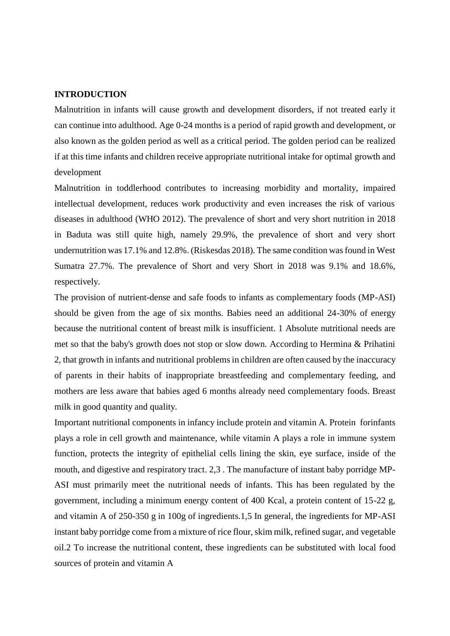#### **INTRODUCTION**

Malnutrition in infants will cause growth and development disorders, if not treated early it can continue into adulthood. Age 0-24 months is a period of rapid growth and development, or also known as the golden period as well as a critical period. The golden period can be realized if at this time infants and children receive appropriate nutritional intake for optimal growth and development

Malnutrition in toddlerhood contributes to increasing morbidity and mortality, impaired intellectual development, reduces work productivity and even increases the risk of various diseases in adulthood (WHO 2012). The prevalence of short and very short nutrition in 2018 in Baduta was still quite high, namely 29.9%, the prevalence of short and very short undernutrition was 17.1% and 12.8%. (Riskesdas 2018). The same condition was found in West Sumatra 27.7%. The prevalence of Short and very Short in 2018 was 9.1% and 18.6%, respectively.

The provision of nutrient-dense and safe foods to infants as complementary foods (MP-ASI) should be given from the age of six months. Babies need an additional 24-30% of energy because the nutritional content of breast milk is insufficient. 1 Absolute nutritional needs are met so that the baby's growth does not stop or slow down. According to Hermina & Prihatini 2, that growth in infants and nutritional problems in children are often caused by the inaccuracy of parents in their habits of inappropriate breastfeeding and complementary feeding, and mothers are less aware that babies aged 6 months already need complementary foods. Breast milk in good quantity and quality.

Important nutritional components in infancy include protein and vitamin A. Protein forinfants plays a role in cell growth and maintenance, while vitamin A plays a role in immune system function, protects the integrity of epithelial cells lining the skin, eye surface, inside of the mouth, and digestive and respiratory tract. 2,3 . The manufacture of instant baby porridge MP-ASI must primarily meet the nutritional needs of infants. This has been regulated by the government, including a minimum energy content of 400 Kcal, a protein content of 15-22 g, and vitamin A of 250-350 g in 100g of ingredients.1,5 In general, the ingredients for MP-ASI instant baby porridge come from a mixture of rice flour, skim milk, refined sugar, and vegetable oil.2 To increase the nutritional content, these ingredients can be substituted with local food sources of protein and vitamin A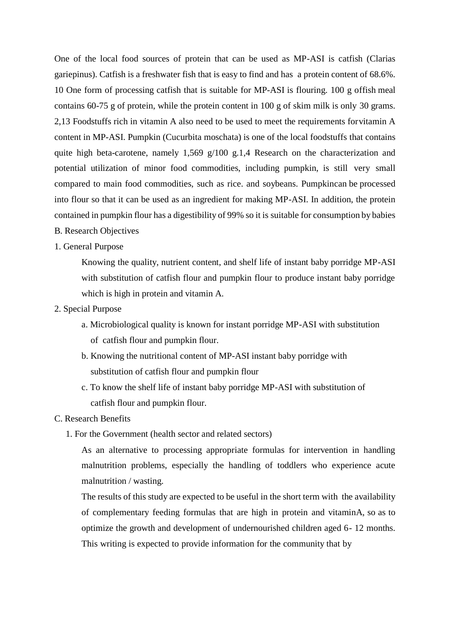One of the local food sources of protein that can be used as MP-ASI is catfish (Clarias gariepinus). Catfish is a freshwater fish that is easy to find and has a protein content of 68.6%. 10 One form of processing catfish that is suitable for MP-ASI is flouring. 100 g offish meal contains 60-75 g of protein, while the protein content in 100 g of skim milk is only 30 grams. 2,13 Foodstuffs rich in vitamin A also need to be used to meet the requirements forvitamin A content in MP-ASI. Pumpkin (Cucurbita moschata) is one of the local foodstuffs that contains quite high beta-carotene, namely 1,569 g/100 g.1,4 Research on the characterization and potential utilization of minor food commodities, including pumpkin, is still very small compared to main food commodities, such as rice. and soybeans. Pumpkincan be processed into flour so that it can be used as an ingredient for making MP-ASI. In addition, the protein contained in pumpkin flour has a digestibility of 99% so it is suitable for consumption by babies

- B. Research Objectives
- 1. General Purpose

Knowing the quality, nutrient content, and shelf life of instant baby porridge MP-ASI with substitution of catfish flour and pumpkin flour to produce instant baby porridge which is high in protein and vitamin A.

- 2. Special Purpose
	- a. Microbiological quality is known for instant porridge MP-ASI with substitution of catfish flour and pumpkin flour.
	- b. Knowing the nutritional content of MP-ASI instant baby porridge with substitution of catfish flour and pumpkin flour
	- c. To know the shelf life of instant baby porridge MP-ASI with substitution of catfish flour and pumpkin flour.

# C. Research Benefits

1. For the Government (health sector and related sectors)

As an alternative to processing appropriate formulas for intervention in handling malnutrition problems, especially the handling of toddlers who experience acute malnutrition / wasting.

The results of this study are expected to be useful in the short term with the availability of complementary feeding formulas that are high in protein and vitaminA, so as to optimize the growth and development of undernourished children aged 6- 12 months. This writing is expected to provide information for the community that by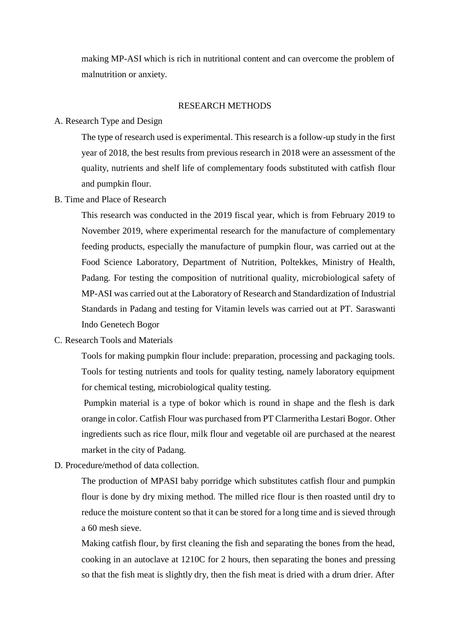making MP-ASI which is rich in nutritional content and can overcome the problem of malnutrition or anxiety.

# RESEARCH METHODS

# A. Research Type and Design

The type of research used is experimental. This research is a follow-up study in the first year of 2018, the best results from previous research in 2018 were an assessment of the quality, nutrients and shelf life of complementary foods substituted with catfish flour and pumpkin flour.

### B. Time and Place of Research

This research was conducted in the 2019 fiscal year, which is from February 2019 to November 2019, where experimental research for the manufacture of complementary feeding products, especially the manufacture of pumpkin flour, was carried out at the Food Science Laboratory, Department of Nutrition, Poltekkes, Ministry of Health, Padang. For testing the composition of nutritional quality, microbiological safety of MP-ASI was carried out at the Laboratory of Research and Standardization of Industrial Standards in Padang and testing for Vitamin levels was carried out at PT. Saraswanti Indo Genetech Bogor

#### C. Research Tools and Materials

Tools for making pumpkin flour include: preparation, processing and packaging tools. Tools for testing nutrients and tools for quality testing, namely laboratory equipment for chemical testing, microbiological quality testing.

Pumpkin material is a type of bokor which is round in shape and the flesh is dark orange in color. Catfish Flour was purchased from PT Clarmeritha Lestari Bogor. Other ingredients such as rice flour, milk flour and vegetable oil are purchased at the nearest market in the city of Padang.

# D. Procedure/method of data collection.

The production of MPASI baby porridge which substitutes catfish flour and pumpkin flour is done by dry mixing method. The milled rice flour is then roasted until dry to reduce the moisture content so that it can be stored for a long time and is sieved through a 60 mesh sieve.

Making catfish flour, by first cleaning the fish and separating the bones from the head, cooking in an autoclave at 1210C for 2 hours, then separating the bones and pressing so that the fish meat is slightly dry, then the fish meat is dried with a drum drier. After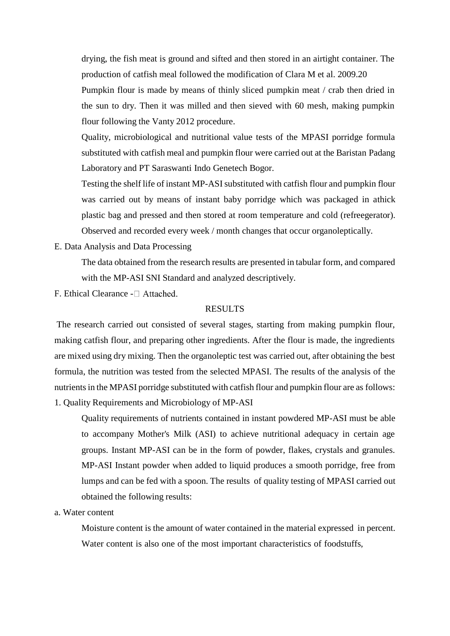drying, the fish meat is ground and sifted and then stored in an airtight container. The production of catfish meal followed the modification of Clara M et al. 2009.20

Pumpkin flour is made by means of thinly sliced pumpkin meat / crab then dried in the sun to dry. Then it was milled and then sieved with 60 mesh, making pumpkin flour following the Vanty 2012 procedure.

Quality, microbiological and nutritional value tests of the MPASI porridge formula substituted with catfish meal and pumpkin flour were carried out at the Baristan Padang Laboratory and PT Saraswanti Indo Genetech Bogor.

Testing the shelf life of instant MP-ASI substituted with catfish flour and pumpkin flour was carried out by means of instant baby porridge which was packaged in athick plastic bag and pressed and then stored at room temperature and cold (refreegerator). Observed and recorded every week / month changes that occur organoleptically.

E. Data Analysis and Data Processing

The data obtained from the research results are presented in tabular form, and compared with the MP-ASI SNI Standard and analyzed descriptively.

F. Ethical Clearance -  $\Box$  Attached.

#### RESULTS

The research carried out consisted of several stages, starting from making pumpkin flour, making catfish flour, and preparing other ingredients. After the flour is made, the ingredients are mixed using dry mixing. Then the organoleptic test was carried out, after obtaining the best formula, the nutrition was tested from the selected MPASI. The results of the analysis of the nutrients in the MPASI porridge substituted with catfish flour and pumpkin flour are as follows: 1. Quality Requirements and Microbiology of MP-ASI

Quality requirements of nutrients contained in instant powdered MP-ASI must be able to accompany Mother's Milk (ASI) to achieve nutritional adequacy in certain age groups. Instant MP-ASI can be in the form of powder, flakes, crystals and granules. MP-ASI Instant powder when added to liquid produces a smooth porridge, free from lumps and can be fed with a spoon. The results of quality testing of MPASI carried out obtained the following results:

a. Water content

Moisture content is the amount of water contained in the material expressed in percent. Water content is also one of the most important characteristics of foodstuffs,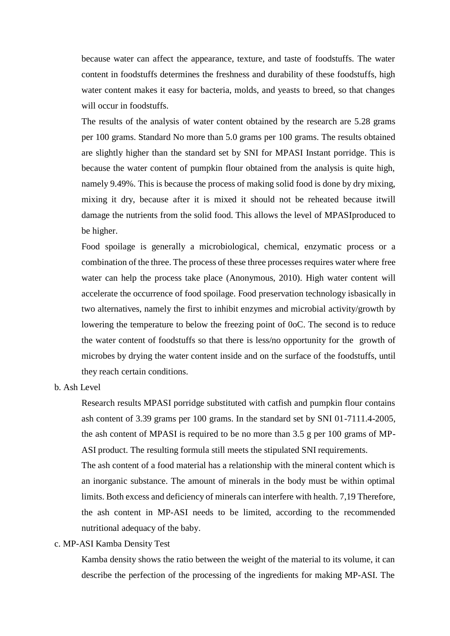because water can affect the appearance, texture, and taste of foodstuffs. The water content in foodstuffs determines the freshness and durability of these foodstuffs, high water content makes it easy for bacteria, molds, and yeasts to breed, so that changes will occur in foodstuffs.

The results of the analysis of water content obtained by the research are 5.28 grams per 100 grams. Standard No more than 5.0 grams per 100 grams. The results obtained are slightly higher than the standard set by SNI for MPASI Instant porridge. This is because the water content of pumpkin flour obtained from the analysis is quite high, namely 9.49%. This is because the process of making solid food is done by dry mixing, mixing it dry, because after it is mixed it should not be reheated because itwill damage the nutrients from the solid food. This allows the level of MPASIproduced to be higher.

Food spoilage is generally a microbiological, chemical, enzymatic process or a combination of the three. The process of these three processes requires water where free water can help the process take place (Anonymous, 2010). High water content will accelerate the occurrence of food spoilage. Food preservation technology isbasically in two alternatives, namely the first to inhibit enzymes and microbial activity/growth by lowering the temperature to below the freezing point of 0oC. The second is to reduce the water content of foodstuffs so that there is less/no opportunity for the growth of microbes by drying the water content inside and on the surface of the foodstuffs, until they reach certain conditions.

### b. Ash Level

Research results MPASI porridge substituted with catfish and pumpkin flour contains ash content of 3.39 grams per 100 grams. In the standard set by SNI 01-7111.4-2005, the ash content of MPASI is required to be no more than 3.5 g per 100 grams of MP-ASI product. The resulting formula still meets the stipulated SNI requirements.

The ash content of a food material has a relationship with the mineral content which is an inorganic substance. The amount of minerals in the body must be within optimal limits. Both excess and deficiency of minerals can interfere with health. 7,19 Therefore, the ash content in MP-ASI needs to be limited, according to the recommended nutritional adequacy of the baby.

#### c. MP-ASI Kamba Density Test

Kamba density shows the ratio between the weight of the material to its volume, it can describe the perfection of the processing of the ingredients for making MP-ASI. The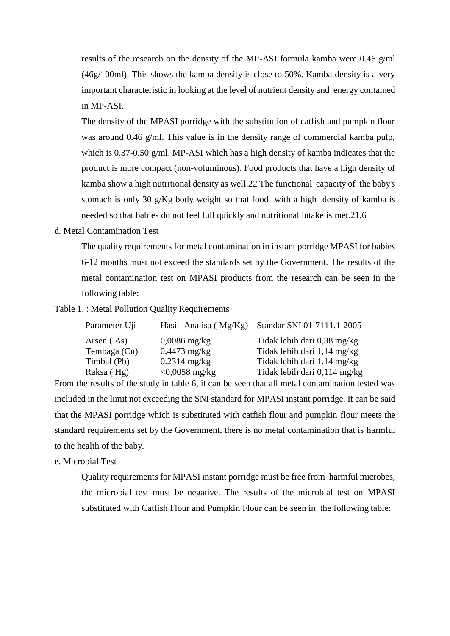results of the research on the density of the MP-ASI formula kamba were 0.46 g/ml (46g/100ml). This shows the kamba density is close to 50%. Kamba density is a very important characteristic in looking at the level of nutrient density and energy contained in MP-ASI.

The density of the MPASI porridge with the substitution of catfish and pumpkin flour was around 0.46 g/ml. This value is in the density range of commercial kamba pulp, which is 0.37-0.50 g/ml. MP-ASI which has a high density of kamba indicates that the product is more compact (non-voluminous). Food products that have a high density of kamba show a high nutritional density as well.22 The functional capacity of the baby's stomach is only 30 g/Kg body weight so that food with a high density of kamba is needed so that babies do not feel full quickly and nutritional intake is met.21,6

# d. Metal Contamination Test

The quality requirements for metal contamination in instant porridge MPASI for babies 6-12 months must not exceed the standards set by the Government. The results of the metal contamination test on MPASI products from the research can be seen in the following table:

Table 1. : Metal Pollution Quality Requirements

| Parameter Uji | Hasil Analisa ( $Mg/Kg$ ) | Standar SNI 01-7111.1-2005   |
|---------------|---------------------------|------------------------------|
| Arsen (As)    | $0,0086$ mg/kg            | Tidak lebih dari 0,38 mg/kg  |
| Tembaga (Cu)  | $0,4473$ mg/kg            | Tidak lebih dari 1,14 mg/kg  |
| Timbal (Pb)   | $0.2314$ mg/kg            | Tidak lebih dari 1.14 mg/kg  |
| Raksa (Hg)    | $< 0,0058$ mg/kg          | Tidak lebih dari 0,114 mg/kg |

From the results of the study in table 6, it can be seen that all metal contamination tested was included in the limit not exceeding the SNI standard for MPASI instant porridge. It can be said that the MPASI porridge which is substituted with catfish flour and pumpkin flour meets the standard requirements set by the Government, there is no metal contamination that is harmful to the health of the baby.

# e. Microbial Test

Quality requirements for MPASI instant porridge must be free from harmful microbes, the microbial test must be negative. The results of the microbial test on MPASI substituted with Catfish Flour and Pumpkin Flour can be seen in the following table: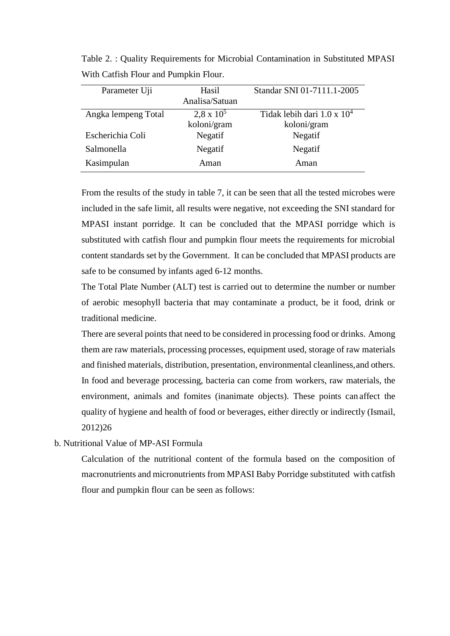| Parameter Uji       | Hasil             | Standar SNI 01-7111.1-2005         |  |  |  |  |  |  |  |
|---------------------|-------------------|------------------------------------|--|--|--|--|--|--|--|
|                     | Analisa/Satuan    |                                    |  |  |  |  |  |  |  |
| Angka lempeng Total | $2.8 \times 10^5$ | Tidak lebih dari $1.0 \times 10^4$ |  |  |  |  |  |  |  |
|                     | koloni/gram       | koloni/gram                        |  |  |  |  |  |  |  |
| Escherichia Coli    | Negatif           | Negatif                            |  |  |  |  |  |  |  |
| Salmonella          | Negatif           | Negatif                            |  |  |  |  |  |  |  |
| Kasimpulan          | Aman              | Aman                               |  |  |  |  |  |  |  |

Table 2. : Quality Requirements for Microbial Contamination in Substituted MPASI With Catfish Flour and Pumpkin Flour.

From the results of the study in table 7, it can be seen that all the tested microbes were included in the safe limit, all results were negative, not exceeding the SNI standard for MPASI instant porridge. It can be concluded that the MPASI porridge which is substituted with catfish flour and pumpkin flour meets the requirements for microbial content standards set by the Government. It can be concluded that MPASI products are safe to be consumed by infants aged 6-12 months.

The Total Plate Number (ALT) test is carried out to determine the number or number of aerobic mesophyll bacteria that may contaminate a product, be it food, drink or traditional medicine.

There are several points that need to be considered in processing food or drinks. Among them are raw materials, processing processes, equipment used, storage of raw materials and finished materials, distribution, presentation, environmental cleanliness,and others. In food and beverage processing, bacteria can come from workers, raw materials, the environment, animals and fomites (inanimate objects). These points can affect the quality of hygiene and health of food or beverages, either directly or indirectly (Ismail, 2012)26

# b. Nutritional Value of MP-ASI Formula

Calculation of the nutritional content of the formula based on the composition of macronutrients and micronutrients from MPASI Baby Porridge substituted with catfish flour and pumpkin flour can be seen as follows: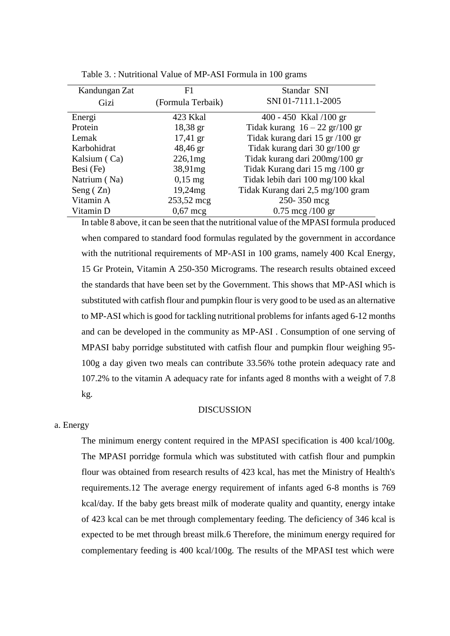| Kandungan Zat | F1                 | Standar SNI                       |
|---------------|--------------------|-----------------------------------|
| Gizi          | (Formula Terbaik)  | SNI 01-7111.1-2005                |
| Energi        | 423 Kkal           | $400 - 450$ Kkal /100 gr          |
| Protein       | $18,38 \text{ gr}$ | Tidak kurang $16 - 22$ gr/100 gr  |
| Lemak         | $17,41 \text{ gr}$ | Tidak kurang dari 15 gr /100 gr   |
| Karbohidrat   | 48,46 gr           | Tidak kurang dari 30 gr/100 gr    |
| Kalsium (Ca)  | 226.1mg            | Tidak kurang dari 200mg/100 gr    |
| Besi (Fe)     | 38,91mg            | Tidak Kurang dari 15 mg /100 gr   |
| Natrium (Na)  | $0,15$ mg          | Tidak lebih dari 100 mg/100 kkal  |
| Seng $(Zn)$   | 19,24mg            | Tidak Kurang dari 2,5 mg/100 gram |
| Vitamin A     | 253,52 mcg         | 250-350 mcg                       |
| Vitamin D     | $0,67 \text{~mg}$  | $0.75 \text{ mcg}/100 \text{ gr}$ |

| Table 3. : Nutritional Value of MP-ASI Formula in 100 grams |  |  |  |
|-------------------------------------------------------------|--|--|--|
|-------------------------------------------------------------|--|--|--|

In table 8 above, it can be seen that the nutritional value of the MPASI formula produced when compared to standard food formulas regulated by the government in accordance with the nutritional requirements of MP-ASI in 100 grams, namely 400 Kcal Energy, 15 Gr Protein, Vitamin A 250-350 Micrograms. The research results obtained exceed the standards that have been set by the Government. This shows that MP-ASI which is substituted with catfish flour and pumpkin flour is very good to be used as an alternative to MP-ASI which is good for tackling nutritional problems for infants aged 6-12 months and can be developed in the community as MP-ASI . Consumption of one serving of MPASI baby porridge substituted with catfish flour and pumpkin flour weighing 95- 100g a day given two meals can contribute 33.56% tothe protein adequacy rate and 107.2% to the vitamin A adequacy rate for infants aged 8 months with a weight of 7.8 kg.

### DISCUSSION

#### a. Energy

The minimum energy content required in the MPASI specification is 400 kcal/100g. The MPASI porridge formula which was substituted with catfish flour and pumpkin flour was obtained from research results of 423 kcal, has met the Ministry of Health's requirements.12 The average energy requirement of infants aged 6-8 months is 769 kcal/day. If the baby gets breast milk of moderate quality and quantity, energy intake of 423 kcal can be met through complementary feeding. The deficiency of 346 kcal is expected to be met through breast milk.6 Therefore, the minimum energy required for complementary feeding is 400 kcal/100g. The results of the MPASI test which were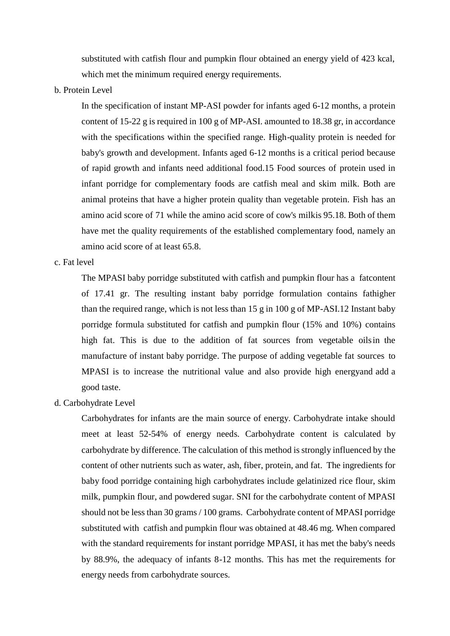substituted with catfish flour and pumpkin flour obtained an energy yield of 423 kcal, which met the minimum required energy requirements.

b. Protein Level

In the specification of instant MP-ASI powder for infants aged 6-12 months, a protein content of 15-22 g is required in 100 g of MP-ASI. amounted to 18.38 gr, in accordance with the specifications within the specified range. High-quality protein is needed for baby's growth and development. Infants aged 6-12 months is a critical period because of rapid growth and infants need additional food.15 Food sources of protein used in infant porridge for complementary foods are catfish meal and skim milk. Both are animal proteins that have a higher protein quality than vegetable protein. Fish has an amino acid score of 71 while the amino acid score of cow's milkis 95.18. Both of them have met the quality requirements of the established complementary food, namely an amino acid score of at least 65.8.

# c. Fat level

The MPASI baby porridge substituted with catfish and pumpkin flour has a fatcontent of 17.41 gr. The resulting instant baby porridge formulation contains fathigher than the required range, which is not less than 15 g in 100 g of MP-ASI.12 Instant baby porridge formula substituted for catfish and pumpkin flour (15% and 10%) contains high fat. This is due to the addition of fat sources from vegetable oilsin the manufacture of instant baby porridge. The purpose of adding vegetable fat sources to MPASI is to increase the nutritional value and also provide high energyand add a good taste.

d. Carbohydrate Level

Carbohydrates for infants are the main source of energy. Carbohydrate intake should meet at least 52-54% of energy needs. Carbohydrate content is calculated by carbohydrate by difference. The calculation of this method is strongly influenced by the content of other nutrients such as water, ash, fiber, protein, and fat. The ingredients for baby food porridge containing high carbohydrates include gelatinized rice flour, skim milk, pumpkin flour, and powdered sugar. SNI for the carbohydrate content of MPASI should not be less than 30 grams / 100 grams. Carbohydrate content of MPASI porridge substituted with catfish and pumpkin flour was obtained at 48.46 mg. When compared with the standard requirements for instant porridge MPASI, it has met the baby's needs by 88.9%, the adequacy of infants 8-12 months. This has met the requirements for energy needs from carbohydrate sources.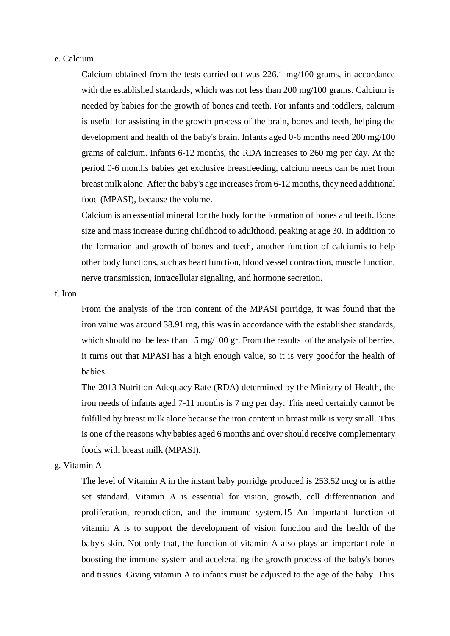### e. Calcium

Calcium obtained from the tests carried out was 226.1 mg/100 grams, in accordance with the established standards, which was not less than 200 mg/100 grams. Calcium is needed by babies for the growth of bones and teeth. For infants and toddlers, calcium is useful for assisting in the growth process of the brain, bones and teeth, helping the development and health of the baby's brain. Infants aged 0-6 months need 200 mg/100 grams of calcium. Infants 6-12 months, the RDA increases to 260 mg per day. At the period 0-6 months babies get exclusive breastfeeding, calcium needs can be met from breast milk alone. After the baby's age increasesfrom 6-12 months, they need additional food (MPASI), because the volume.

Calcium is an essential mineral for the body for the formation of bones and teeth. Bone size and mass increase during childhood to adulthood, peaking at age 30. In addition to the formation and growth of bones and teeth, another function of calciumis to help other body functions, such as heart function, blood vessel contraction, muscle function, nerve transmission, intracellular signaling, and hormone secretion.

#### f. Iron

From the analysis of the iron content of the MPASI porridge, it was found that the iron value was around 38.91 mg, this was in accordance with the established standards, which should not be less than 15 mg/100 gr. From the results of the analysis of berries, it turns out that MPASI has a high enough value, so it is very goodfor the health of babies.

The 2013 Nutrition Adequacy Rate (RDA) determined by the Ministry of Health, the iron needs of infants aged 7-11 months is 7 mg per day. This need certainly cannot be fulfilled by breast milk alone because the iron content in breast milk is very small. This is one of the reasons why babies aged 6 months and over should receive complementary foods with breast milk (MPASI).

# g. Vitamin A

The level of Vitamin A in the instant baby porridge produced is 253.52 mcg or is atthe set standard. Vitamin A is essential for vision, growth, cell differentiation and proliferation, reproduction, and the immune system.15 An important function of vitamin A is to support the development of vision function and the health of the baby's skin. Not only that, the function of vitamin A also plays an important role in boosting the immune system and accelerating the growth process of the baby's bones and tissues. Giving vitamin A to infants must be adjusted to the age of the baby. This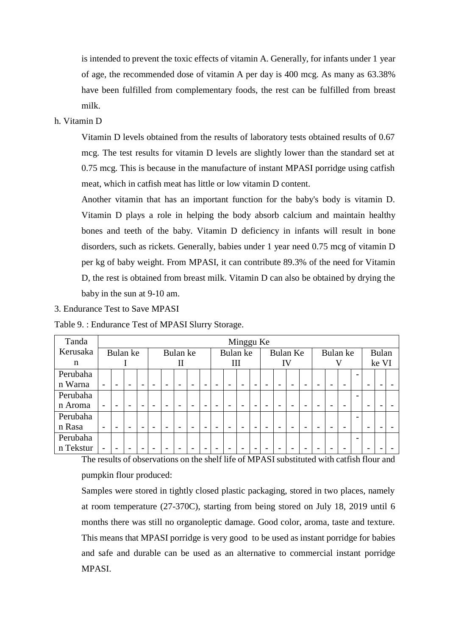is intended to prevent the toxic effects of vitamin A. Generally, for infants under 1 year of age, the recommended dose of vitamin A per day is 400 mcg. As many as 63.38% have been fulfilled from complementary foods, the rest can be fulfilled from breast milk.

# h. Vitamin D

Vitamin D levels obtained from the results of laboratory tests obtained results of 0.67 mcg. The test results for vitamin D levels are slightly lower than the standard set at 0.75 mcg. This is because in the manufacture of instant MPASI porridge using catfish meat, which in catfish meat has little or low vitamin D content.

Another vitamin that has an important function for the baby's body is vitamin D. Vitamin D plays a role in helping the body absorb calcium and maintain healthy bones and teeth of the baby. Vitamin D deficiency in infants will result in bone disorders, such as rickets. Generally, babies under 1 year need 0.75 mcg of vitamin D per kg of baby weight. From MPASI, it can contribute 89.3% of the need for Vitamin D, the rest is obtained from breast milk. Vitamin D can also be obtained by drying the baby in the sun at 9-10 am.

#### 3. Endurance Test to Save MPASI

Table 9. : Endurance Test of MPASI Slurry Storage.

| Tanda     | Minggu Ke                |                          |                          |   |                          |                          |  |                          |  |                          |                          |          |                          |                          |   |                          |                          |  |                          |       |  |                          |  |  |
|-----------|--------------------------|--------------------------|--------------------------|---|--------------------------|--------------------------|--|--------------------------|--|--------------------------|--------------------------|----------|--------------------------|--------------------------|---|--------------------------|--------------------------|--|--------------------------|-------|--|--------------------------|--|--|
| Kerusaka  | Bulan ke<br>Bulan ke     |                          |                          |   |                          |                          |  | Bulan ke                 |  |                          |                          | Bulan Ke |                          |                          |   | Bulan ke                 |                          |  |                          | Bulan |  |                          |  |  |
| n         |                          |                          |                          |   |                          | $\mathbf{I}$             |  |                          |  | Ш                        |                          |          |                          | IV                       |   |                          |                          |  |                          |       |  | ke VI                    |  |  |
| Perubaha  |                          |                          |                          |   |                          |                          |  |                          |  |                          |                          |          |                          |                          |   |                          |                          |  |                          |       |  |                          |  |  |
| n Warna   | $\overline{\phantom{0}}$ |                          |                          |   |                          | $\overline{\phantom{0}}$ |  |                          |  |                          |                          |          |                          |                          |   |                          |                          |  |                          |       |  |                          |  |  |
| Perubaha  |                          |                          |                          |   |                          |                          |  |                          |  |                          |                          |          |                          |                          |   |                          |                          |  |                          |       |  |                          |  |  |
| n Aroma   | $\overline{\phantom{0}}$ | $\overline{\phantom{0}}$ |                          |   | $\overline{\phantom{0}}$ | $\overline{\phantom{0}}$ |  |                          |  |                          |                          |          |                          |                          | - |                          |                          |  |                          |       |  | -                        |  |  |
| Perubaha  |                          |                          |                          |   |                          |                          |  |                          |  |                          |                          |          |                          |                          |   |                          |                          |  |                          |       |  |                          |  |  |
| n Rasa    | $\overline{\phantom{a}}$ | $\overline{\phantom{0}}$ | $\overline{\phantom{0}}$ | - | $\overline{\phantom{0}}$ | $\overline{\phantom{0}}$ |  | $\overline{\phantom{0}}$ |  | $\overline{\phantom{0}}$ | $\overline{\phantom{a}}$ |          | $\overline{\phantom{0}}$ | $\overline{\phantom{0}}$ |   | $\overline{\phantom{0}}$ | $\overline{\phantom{0}}$ |  | $\overline{\phantom{0}}$ |       |  | $\overline{\phantom{0}}$ |  |  |
| Perubaha  |                          |                          |                          |   |                          |                          |  |                          |  |                          |                          |          |                          |                          |   |                          |                          |  |                          |       |  |                          |  |  |
| n Tekstur | $\overline{\phantom{0}}$ | $\overline{\phantom{0}}$ |                          |   |                          | $\overline{\phantom{0}}$ |  |                          |  |                          |                          |          |                          |                          |   |                          |                          |  |                          |       |  |                          |  |  |

The results of observations on the shelf life of MPASI substituted with catfish flour and pumpkin flour produced:

Samples were stored in tightly closed plastic packaging, stored in two places, namely at room temperature (27-370C), starting from being stored on July 18, 2019 until 6 months there was still no organoleptic damage. Good color, aroma, taste and texture. This means that MPASI porridge is very good to be used as instant porridge for babies and safe and durable can be used as an alternative to commercial instant porridge MPASI.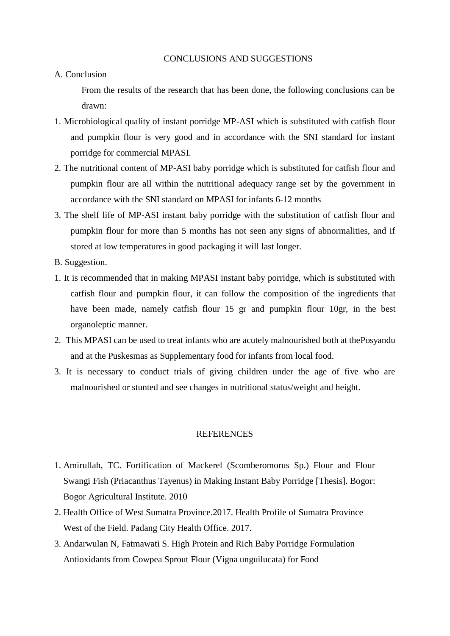# A. Conclusion

From the results of the research that has been done, the following conclusions can be drawn:

- 1. Microbiological quality of instant porridge MP-ASI which is substituted with catfish flour and pumpkin flour is very good and in accordance with the SNI standard for instant porridge for commercial MPASI.
- 2. The nutritional content of MP-ASI baby porridge which is substituted for catfish flour and pumpkin flour are all within the nutritional adequacy range set by the government in accordance with the SNI standard on MPASI for infants 6-12 months
- 3. The shelf life of MP-ASI instant baby porridge with the substitution of catfish flour and pumpkin flour for more than 5 months has not seen any signs of abnormalities, and if stored at low temperatures in good packaging it will last longer.
- B. Suggestion.
- 1. It is recommended that in making MPASI instant baby porridge, which is substituted with catfish flour and pumpkin flour, it can follow the composition of the ingredients that have been made, namely catfish flour 15 gr and pumpkin flour 10gr, in the best organoleptic manner.
- 2. This MPASI can be used to treat infants who are acutely malnourished both at thePosyandu and at the Puskesmas as Supplementary food for infants from local food.
- 3. It is necessary to conduct trials of giving children under the age of five who are malnourished or stunted and see changes in nutritional status/weight and height.

#### **REFERENCES**

- 1. Amirullah, TC. Fortification of Mackerel (Scomberomorus Sp.) Flour and Flour Swangi Fish (Priacanthus Tayenus) in Making Instant Baby Porridge [Thesis]. Bogor: Bogor Agricultural Institute. 2010
- 2. Health Office of West Sumatra Province.2017. Health Profile of Sumatra Province West of the Field. Padang City Health Office. 2017.
- 3. Andarwulan N, Fatmawati S. High Protein and Rich Baby Porridge Formulation Antioxidants from Cowpea Sprout Flour (Vigna unguilucata) for Food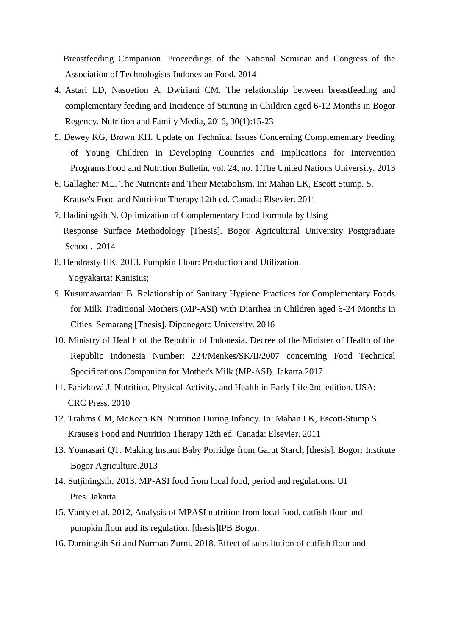Breastfeeding Companion. Proceedings of the National Seminar and Congress of the Association of Technologists Indonesian Food. 2014

- 4. Astari LD, Nasoetion A, Dwiriani CM. The relationship between breastfeeding and complementary feeding and Incidence of Stunting in Children aged 6-12 Months in Bogor Regency. Nutrition and Family Media, 2016, 30(1):15-23
- 5. Dewey KG, Brown KH. Update on Technical Issues Concerning Complementary Feeding of Young Children in Developing Countries and Implications for Intervention Programs.Food and Nutrition Bulletin, vol. 24, no. 1.The United Nations University. 2013
- 6. Gallagher ML. The Nutrients and Their Metabolism. In: Mahan LK, Escott Stump. S. Krause's Food and Nutrition Therapy 12th ed. Canada: Elsevier. 2011
- 7. Hadiningsih N. Optimization of Complementary Food Formula by Using Response Surface Methodology [Thesis]. Bogor Agricultural University Postgraduate School. 2014
- 8. Hendrasty HK. 2013. Pumpkin Flour: Production and Utilization. Yogyakarta: Kanisius;
- 9. Kusumawardani B. Relationship of Sanitary Hygiene Practices for Complementary Foods for Milk Traditional Mothers (MP-ASI) with Diarrhea in Children aged 6-24 Months in Cities Semarang [Thesis]. Diponegoro University. 2016
- 10. Ministry of Health of the Republic of Indonesia. Decree of the Minister of Health of the Republic Indonesia Number: 224/Menkes/SK/II/2007 concerning Food Technical Specifications Companion for Mother's Milk (MP-ASI). Jakarta.2017
- 11. Parízková J. Nutrition, Physical Activity, and Health in Early Life 2nd edition. USA: CRC Press. 2010
- 12. Trahms CM, McKean KN. Nutrition During Infancy. In: Mahan LK, Escott-Stump S. Krause's Food and Nutrition Therapy 12th ed. Canada: Elsevier. 2011
- 13. Yoanasari QT. Making Instant Baby Porridge from Garut Starch [thesis]. Bogor: Institute Bogor Agriculture.2013
- 14. Sutjiningsih, 2013. MP-ASI food from local food, period and regulations. UI Pres. Jakarta.
- 15. Vanty et al. 2012, Analysis of MPASI nutrition from local food, catfish flour and pumpkin flour and its regulation. [thesis]IPB Bogor.
- 16. Darningsih Sri and Nurman Zurni, 2018. Effect of substitution of catfish flour and